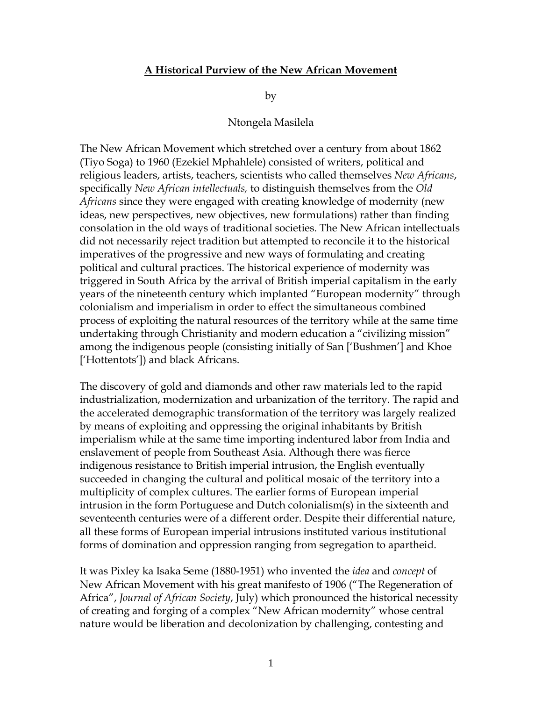## **A Historical Purview of the New African Movement**

by

## Ntongela Masilela

The New African Movement which stretched over a century from about 1862 (Tiyo Soga) to 1960 (Ezekiel Mphahlele) consisted of writers, political and religious leaders, artists, teachers, scientists who called themselves *New Africans*, specifically *New African intellectuals,* to distinguish themselves from the *Old Africans* since they were engaged with creating knowledge of modernity (new ideas, new perspectives, new objectives, new formulations) rather than finding consolation in the old ways of traditional societies. The New African intellectuals did not necessarily reject tradition but attempted to reconcile it to the historical imperatives of the progressive and new ways of formulating and creating political and cultural practices. The historical experience of modernity was triggered in South Africa by the arrival of British imperial capitalism in the early years of the nineteenth century which implanted "European modernity" through colonialism and imperialism in order to effect the simultaneous combined process of exploiting the natural resources of the territory while at the same time undertaking through Christianity and modern education a "civilizing mission" among the indigenous people (consisting initially of San ["Bushmen"] and Khoe ['Hottentots']) and black Africans.

The discovery of gold and diamonds and other raw materials led to the rapid industrialization, modernization and urbanization of the territory. The rapid and the accelerated demographic transformation of the territory was largely realized by means of exploiting and oppressing the original inhabitants by British imperialism while at the same time importing indentured labor from India and enslavement of people from Southeast Asia. Although there was fierce indigenous resistance to British imperial intrusion, the English eventually succeeded in changing the cultural and political mosaic of the territory into a multiplicity of complex cultures. The earlier forms of European imperial intrusion in the form Portuguese and Dutch colonialism(s) in the sixteenth and seventeenth centuries were of a different order. Despite their differential nature, all these forms of European imperial intrusions instituted various institutional forms of domination and oppression ranging from segregation to apartheid.

It was Pixley ka Isaka Seme (1880-1951) who invented the *idea* and *concept* of New African Movement with his great manifesto of 1906 ("The Regeneration of Africa", *Journal of African Society*, July) which pronounced the historical necessity of creating and forging of a complex "New African modernity" whose central nature would be liberation and decolonization by challenging, contesting and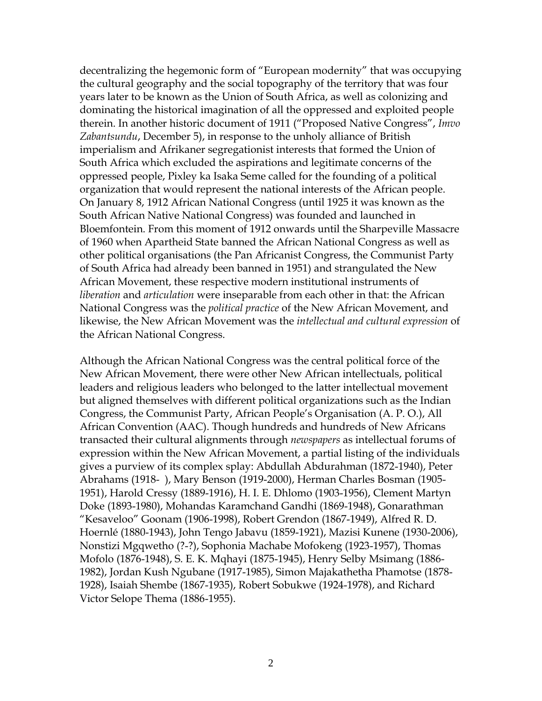decentralizing the hegemonic form of "European modernity" that was occupying the cultural geography and the social topography of the territory that was four years later to be known as the Union of South Africa, as well as colonizing and dominating the historical imagination of all the oppressed and exploited people therein. In another historic document of 1911 ("Proposed Native Congress", *Imvo Zabantsundu*, December 5), in response to the unholy alliance of British imperialism and Afrikaner segregationist interests that formed the Union of South Africa which excluded the aspirations and legitimate concerns of the oppressed people, Pixley ka Isaka Seme called for the founding of a political organization that would represent the national interests of the African people. On January 8, 1912 African National Congress (until 1925 it was known as the South African Native National Congress) was founded and launched in Bloemfontein. From this moment of 1912 onwards until the Sharpeville Massacre of 1960 when Apartheid State banned the African National Congress as well as other political organisations (the Pan Africanist Congress, the Communist Party of South Africa had already been banned in 1951) and strangulated the New African Movement, these respective modern institutional instruments of *liberation* and *articulation* were inseparable from each other in that: the African National Congress was the *political practice* of the New African Movement, and likewise, the New African Movement was the *intellectual and cultural expression* of the African National Congress.

Although the African National Congress was the central political force of the New African Movement, there were other New African intellectuals, political leaders and religious leaders who belonged to the latter intellectual movement but aligned themselves with different political organizations such as the Indian Congress, the Communist Party, African People"s Organisation (A. P. O.), All African Convention (AAC). Though hundreds and hundreds of New Africans transacted their cultural alignments through *newspapers* as intellectual forums of expression within the New African Movement, a partial listing of the individuals gives a purview of its complex splay: Abdullah Abdurahman (1872-1940), Peter Abrahams (1918- ), Mary Benson (1919-2000), Herman Charles Bosman (1905- 1951), Harold Cressy (1889-1916), H. I. E. Dhlomo (1903-1956), Clement Martyn Doke (1893-1980), Mohandas Karamchand Gandhi (1869-1948), Gonarathman "Kesaveloo" Goonam (1906-1998), Robert Grendon (1867-1949), Alfred R. D. Hoernlé (1880-1943), John Tengo Jabavu (1859-1921), Mazisi Kunene (1930-2006), Nonstizi Mgqwetho (?-?), Sophonia Machabe Mofokeng (1923-1957), Thomas Mofolo (1876-1948), S. E. K. Mqhayi (1875-1945), Henry Selby Msimang (1886- 1982), Jordan Kush Ngubane (1917-1985), Simon Majakathetha Phamotse (1878- 1928), Isaiah Shembe (1867-1935), Robert Sobukwe (1924-1978), and Richard Victor Selope Thema (1886-1955).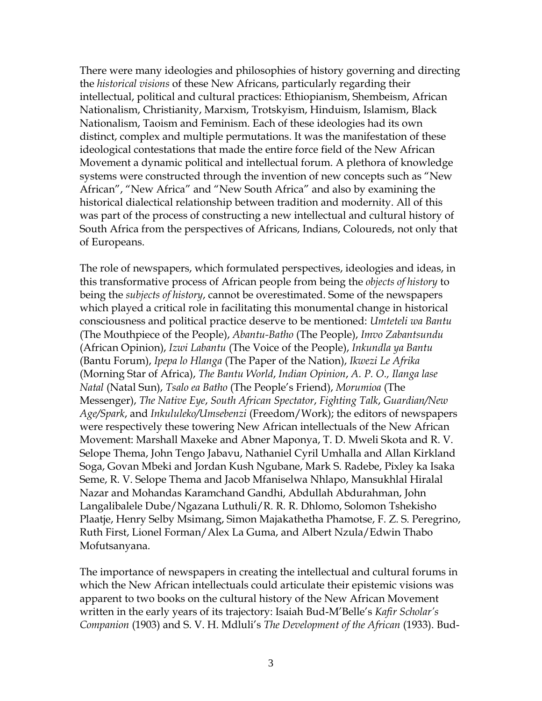There were many ideologies and philosophies of history governing and directing the *historical visions* of these New Africans, particularly regarding their intellectual, political and cultural practices: Ethiopianism, Shembeism, African Nationalism, Christianity, Marxism, Trotskyism, Hinduism, Islamism, Black Nationalism, Taoism and Feminism. Each of these ideologies had its own distinct, complex and multiple permutations. It was the manifestation of these ideological contestations that made the entire force field of the New African Movement a dynamic political and intellectual forum. A plethora of knowledge systems were constructed through the invention of new concepts such as "New African", "New Africa" and "New South Africa" and also by examining the historical dialectical relationship between tradition and modernity. All of this was part of the process of constructing a new intellectual and cultural history of South Africa from the perspectives of Africans, Indians, Coloureds, not only that of Europeans.

The role of newspapers, which formulated perspectives, ideologies and ideas, in this transformative process of African people from being the *objects of history* to being the *subjects of history*, cannot be overestimated. Some of the newspapers which played a critical role in facilitating this monumental change in historical consciousness and political practice deserve to be mentioned: *Umteteli wa Bantu* (The Mouthpiece of the People), *Abantu-Batho* (The People), *Imvo Zabantsundu* (African Opinion), *Izwi Labantu* (The Voice of the People), *Inkundla ya Bantu* (Bantu Forum), *Ipepa lo Hlanga* (The Paper of the Nation), *Ikwezi Le Afrika* (Morning Star of Africa), *The Bantu World*, *Indian Opinion*, *A. P. O., Ilanga lase Natal* (Natal Sun), *Tsalo ea Batho* (The People"s Friend), *Morumioa* (The Messenger), *The Native Eye*, *South African Spectator*, *Fighting Talk*, *Guardian/New Age/Spark*, and *Inkululeko/Umsebenzi* (Freedom/Work); the editors of newspapers were respectively these towering New African intellectuals of the New African Movement: Marshall Maxeke and Abner Maponya, T. D. Mweli Skota and R. V. Selope Thema, John Tengo Jabavu, Nathaniel Cyril Umhalla and Allan Kirkland Soga, Govan Mbeki and Jordan Kush Ngubane, Mark S. Radebe, Pixley ka Isaka Seme, R. V. Selope Thema and Jacob Mfaniselwa Nhlapo, Mansukhlal Hiralal Nazar and Mohandas Karamchand Gandhi, Abdullah Abdurahman, John Langalibalele Dube/Ngazana Luthuli/R. R. R. Dhlomo, Solomon Tshekisho Plaatje, Henry Selby Msimang, Simon Majakathetha Phamotse, F. Z. S. Peregrino, Ruth First, Lionel Forman/Alex La Guma, and Albert Nzula/Edwin Thabo Mofutsanyana.

The importance of newspapers in creating the intellectual and cultural forums in which the New African intellectuals could articulate their epistemic visions was apparent to two books on the cultural history of the New African Movement written in the early years of its trajectory: Isaiah Bud-M"Belle"s *Kafir Scholar's Companion* (1903) and S. V. H. Mdluli"s *The Development of the African* (1933). Bud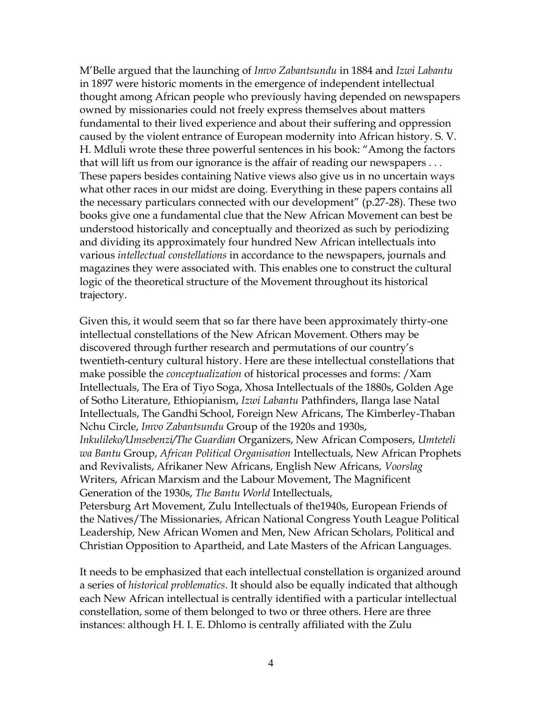M"Belle argued that the launching of *Imvo Zabantsundu* in 1884 and *Izwi Labantu* in 1897 were historic moments in the emergence of independent intellectual thought among African people who previously having depended on newspapers owned by missionaries could not freely express themselves about matters fundamental to their lived experience and about their suffering and oppression caused by the violent entrance of European modernity into African history. S. V. H. Mdluli wrote these three powerful sentences in his book: "Among the factors that will lift us from our ignorance is the affair of reading our newspapers . . . These papers besides containing Native views also give us in no uncertain ways what other races in our midst are doing. Everything in these papers contains all the necessary particulars connected with our development" (p.27-28). These two books give one a fundamental clue that the New African Movement can best be understood historically and conceptually and theorized as such by periodizing and dividing its approximately four hundred New African intellectuals into various *intellectual constellations* in accordance to the newspapers, journals and magazines they were associated with. This enables one to construct the cultural logic of the theoretical structure of the Movement throughout its historical trajectory.

Given this, it would seem that so far there have been approximately thirty-one intellectual constellations of the New African Movement. Others may be discovered through further research and permutations of our country"s twentieth-century cultural history. Here are these intellectual constellations that make possible the *conceptualization* of historical processes and forms: /Xam Intellectuals, The Era of Tiyo Soga, Xhosa Intellectuals of the 1880s, Golden Age of Sotho Literature, Ethiopianism, *Izwi Labantu* Pathfinders, Ilanga lase Natal Intellectuals, The Gandhi School, Foreign New Africans, The Kimberley-Thaban Nchu Circle, *Imvo Zabantsundu* Group of the 1920s and 1930s, *Inkulileko/Umsebenzi/The Guardian* Organizers, New African Composers, *Umteteli wa Bantu* Group, *African Political Organisation* Intellectuals, New African Prophets and Revivalists, Afrikaner New Africans, English New Africans, *Voorslag* Writers, African Marxism and the Labour Movement, The Magnificent Generation of the 1930s, *The Bantu World* Intellectuals, Petersburg Art Movement, Zulu Intellectuals of the1940s, European Friends of the Natives/The Missionaries, African National Congress Youth League Political Leadership, New African Women and Men, New African Scholars, Political and

It needs to be emphasized that each intellectual constellation is organized around a series of *historical problematics*. It should also be equally indicated that although each New African intellectual is centrally identified with a particular intellectual constellation, some of them belonged to two or three others. Here are three instances: although H. I. E. Dhlomo is centrally affiliated with the Zulu

Christian Opposition to Apartheid, and Late Masters of the African Languages.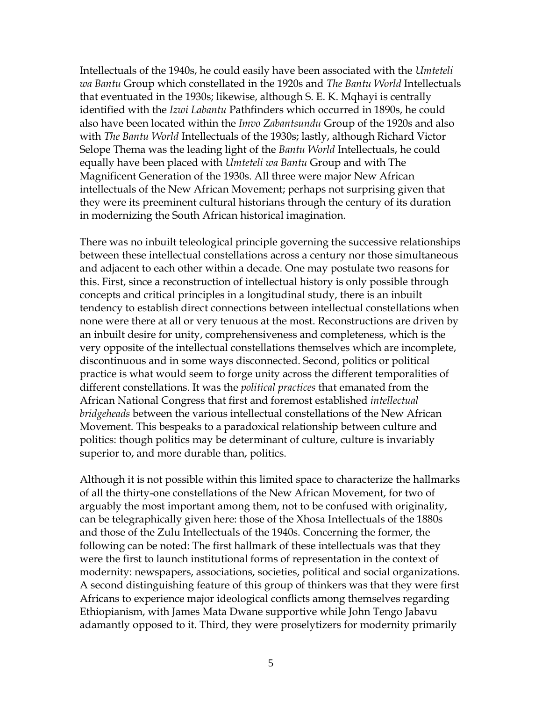Intellectuals of the 1940s, he could easily have been associated with the *Umteteli wa Bantu* Group which constellated in the 1920s and *The Bantu World* Intellectuals that eventuated in the 1930s; likewise, although S. E. K. Mqhayi is centrally identified with the *Izwi Labantu* Pathfinders which occurred in 1890s, he could also have been located within the *Imvo Zabantsundu* Group of the 1920s and also with *The Bantu World* Intellectuals of the 1930s; lastly, although Richard Victor Selope Thema was the leading light of the *Bantu World* Intellectuals, he could equally have been placed with *Umteteli wa Bantu* Group and with The Magnificent Generation of the 1930s. All three were major New African intellectuals of the New African Movement; perhaps not surprising given that they were its preeminent cultural historians through the century of its duration in modernizing the South African historical imagination.

There was no inbuilt teleological principle governing the successive relationships between these intellectual constellations across a century nor those simultaneous and adjacent to each other within a decade. One may postulate two reasons for this. First, since a reconstruction of intellectual history is only possible through concepts and critical principles in a longitudinal study, there is an inbuilt tendency to establish direct connections between intellectual constellations when none were there at all or very tenuous at the most. Reconstructions are driven by an inbuilt desire for unity, comprehensiveness and completeness, which is the very opposite of the intellectual constellations themselves which are incomplete, discontinuous and in some ways disconnected. Second, politics or political practice is what would seem to forge unity across the different temporalities of different constellations. It was the *political practices* that emanated from the African National Congress that first and foremost established *intellectual bridgeheads* between the various intellectual constellations of the New African Movement. This bespeaks to a paradoxical relationship between culture and politics: though politics may be determinant of culture, culture is invariably superior to, and more durable than, politics.

Although it is not possible within this limited space to characterize the hallmarks of all the thirty-one constellations of the New African Movement, for two of arguably the most important among them, not to be confused with originality, can be telegraphically given here: those of the Xhosa Intellectuals of the 1880s and those of the Zulu Intellectuals of the 1940s. Concerning the former, the following can be noted: The first hallmark of these intellectuals was that they were the first to launch institutional forms of representation in the context of modernity: newspapers, associations, societies, political and social organizations. A second distinguishing feature of this group of thinkers was that they were first Africans to experience major ideological conflicts among themselves regarding Ethiopianism, with James Mata Dwane supportive while John Tengo Jabavu adamantly opposed to it. Third, they were proselytizers for modernity primarily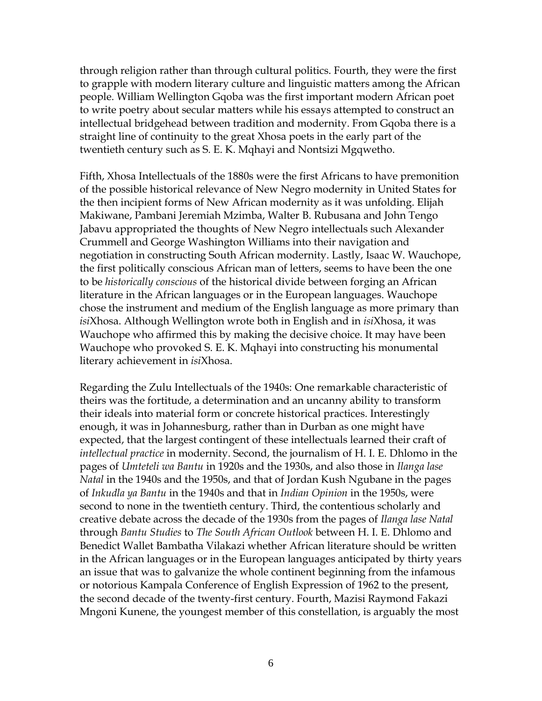through religion rather than through cultural politics. Fourth, they were the first to grapple with modern literary culture and linguistic matters among the African people. William Wellington Gqoba was the first important modern African poet to write poetry about secular matters while his essays attempted to construct an intellectual bridgehead between tradition and modernity. From Gqoba there is a straight line of continuity to the great Xhosa poets in the early part of the twentieth century such as S. E. K. Mqhayi and Nontsizi Mgqwetho.

Fifth, Xhosa Intellectuals of the 1880s were the first Africans to have premonition of the possible historical relevance of New Negro modernity in United States for the then incipient forms of New African modernity as it was unfolding. Elijah Makiwane, Pambani Jeremiah Mzimba, Walter B. Rubusana and John Tengo Jabavu appropriated the thoughts of New Negro intellectuals such Alexander Crummell and George Washington Williams into their navigation and negotiation in constructing South African modernity. Lastly, Isaac W. Wauchope, the first politically conscious African man of letters, seems to have been the one to be *historically conscious* of the historical divide between forging an African literature in the African languages or in the European languages. Wauchope chose the instrument and medium of the English language as more primary than *isi*Xhosa. Although Wellington wrote both in English and in *isi*Xhosa, it was Wauchope who affirmed this by making the decisive choice. It may have been Wauchope who provoked S. E. K. Mqhayi into constructing his monumental literary achievement in *isi*Xhosa.

Regarding the Zulu Intellectuals of the 1940s: One remarkable characteristic of theirs was the fortitude, a determination and an uncanny ability to transform their ideals into material form or concrete historical practices. Interestingly enough, it was in Johannesburg, rather than in Durban as one might have expected, that the largest contingent of these intellectuals learned their craft of *intellectual practice* in modernity. Second, the journalism of H. I. E. Dhlomo in the pages of *Umteteli wa Bantu* in 1920s and the 1930s, and also those in *Ilanga lase Natal* in the 1940s and the 1950s, and that of Jordan Kush Ngubane in the pages of *Inkudla ya Bantu* in the 1940s and that in *Indian Opinion* in the 1950s, were second to none in the twentieth century. Third, the contentious scholarly and creative debate across the decade of the 1930s from the pages of *Ilanga lase Natal* through *Bantu Studies* to *The South African Outlook* between H. I. E. Dhlomo and Benedict Wallet Bambatha Vilakazi whether African literature should be written in the African languages or in the European languages anticipated by thirty years an issue that was to galvanize the whole continent beginning from the infamous or notorious Kampala Conference of English Expression of 1962 to the present, the second decade of the twenty-first century. Fourth, Mazisi Raymond Fakazi Mngoni Kunene, the youngest member of this constellation, is arguably the most